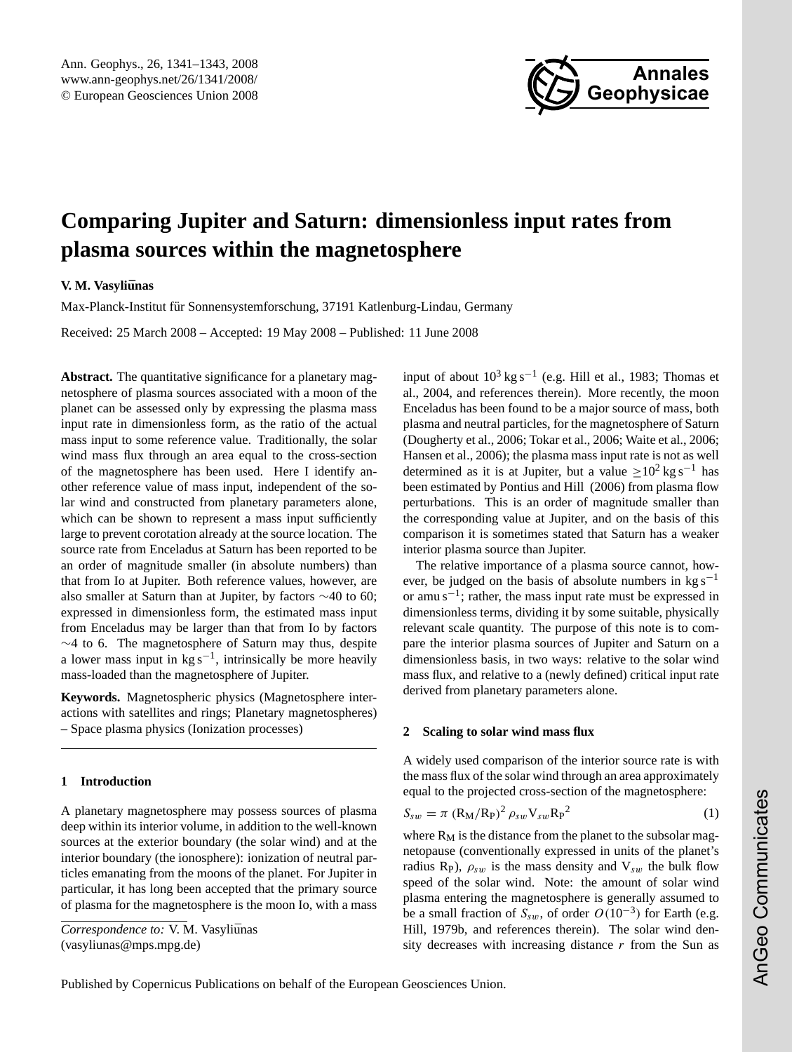

# <span id="page-0-0"></span>**Comparing Jupiter and Saturn: dimensionless input rates from plasma sources within the magnetosphere**

# **V. M. Vasyliunas ¯**

Max-Planck-Institut für Sonnensystemforschung, 37191 Katlenburg-Lindau, Germany

Received: 25 March 2008 – Accepted: 19 May 2008 – Published: 11 June 2008

**Abstract.** The quantitative significance for a planetary magnetosphere of plasma sources associated with a moon of the planet can be assessed only by expressing the plasma mass input rate in dimensionless form, as the ratio of the actual mass input to some reference value. Traditionally, the solar wind mass flux through an area equal to the cross-section of the magnetosphere has been used. Here I identify another reference value of mass input, independent of the solar wind and constructed from planetary parameters alone, which can be shown to represent a mass input sufficiently large to prevent corotation already at the source location. The source rate from Enceladus at Saturn has been reported to be an order of magnitude smaller (in absolute numbers) than that from Io at Jupiter. Both reference values, however, are also smaller at Saturn than at Jupiter, by factors ∼40 to 60; expressed in dimensionless form, the estimated mass input from Enceladus may be larger than that from Io by factors ∼4 to 6. The magnetosphere of Saturn may thus, despite a lower mass input in  $kg s^{-1}$ , intrinsically be more heavily mass-loaded than the magnetosphere of Jupiter.

**Keywords.** Magnetospheric physics (Magnetosphere interactions with satellites and rings; Planetary magnetospheres) – Space plasma physics (Ionization processes)

### **1 Introduction**

A planetary magnetosphere may possess sources of plasma deep within its interior volume, in addition to the well-known sources at the exterior boundary (the solar wind) and at the interior boundary (the ionosphere): ionization of neutral particles emanating from the moons of the planet. For Jupiter in particular, it has long been accepted that the primary source of plasma for the magnetosphere is the moon Io, with a mass

input of about  $10^3$  kg s<sup>-1</sup> (e.g. [Hill et al.,](#page-2-0) [1983;](#page-2-0) [Thomas et](#page-2-1) [al.,](#page-2-1) [2004,](#page-2-1) and references therein). More recently, the moon Enceladus has been found to be a major source of mass, both plasma and neutral particles, for the magnetosphere of Saturn [\(Dougherty et al.,](#page-2-2) [2006;](#page-2-2) [Tokar et al.,](#page-2-3) [2006;](#page-2-3) [Waite et al.,](#page-2-4) [2006;](#page-2-4) [Hansen et al.,](#page-2-5) [2006\)](#page-2-5); the plasma mass input rate is not as well determined as it is at Jupiter, but a value  $\geq 10^2$  kg s<sup>-1</sup> has been estimated by [Pontius and Hill](#page-2-6) [\(2006\)](#page-2-6) from plasma flow perturbations. This is an order of magnitude smaller than the corresponding value at Jupiter, and on the basis of this comparison it is sometimes stated that Saturn has a weaker interior plasma source than Jupiter.

The relative importance of a plasma source cannot, however, be judged on the basis of absolute numbers in  $kg s^{-1}$ or amu s<sup>-1</sup>; rather, the mass input rate must be expressed in dimensionless terms, dividing it by some suitable, physically relevant scale quantity. The purpose of this note is to compare the interior plasma sources of Jupiter and Saturn on a dimensionless basis, in two ways: relative to the solar wind mass flux, and relative to a (newly defined) critical input rate derived from planetary parameters alone.

#### **2 Scaling to solar wind mass flux**

A widely used comparison of the interior source rate is with the mass flux of the solar wind through an area approximately equal to the projected cross-section of the magnetosphere:

$$
S_{sw} = \pi \left( R_M / R_P \right)^2 \rho_{sw} V_{sw} R_P^2 \tag{1}
$$

where  $R_M$  is the distance from the planet to the subsolar magnetopause (conventionally expressed in units of the planet's radius R<sub>P</sub>),  $\rho_{sw}$  is the mass density and  $V_{sw}$  the bulk flow speed of the solar wind. Note: the amount of solar wind plasma entering the magnetosphere is generally assumed to be a small fraction of  $S_{sw}$ , of order  $O(10^{-3})$  for Earth (e.g. [Hill,](#page-2-7) [1979b,](#page-2-7) and references therein). The solar wind density decreases with increasing distance  $r$  from the Sun as

Published by Copernicus Publications on behalf of the European Geosciences Union.

*Correspondence to:* V. M. Vasyliunas ¯ (vasyliunas@mps.mpg.de)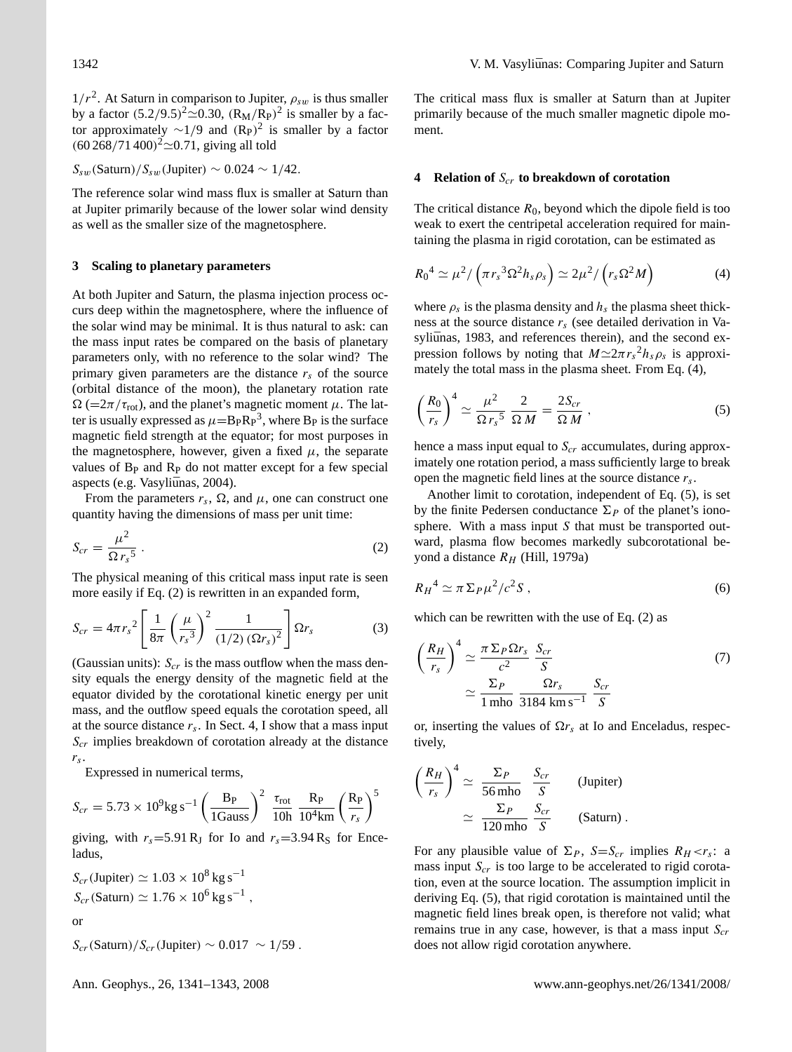$1/r^2$ . At Saturn in comparison to Jupiter,  $\rho_{sw}$  is thus smaller by a factor  $(5.2/9.5)^2 \approx 0.30$ ,  $(R_M/R_P)^2$  is smaller by a factor approximately  $\sim 1/9$  and  $(R_P)^2$  is smaller by a factor  $(60\,268/71\,400)^2 \approx 0.71$ , giving all told

$$
S_{sw}(\text{Saturn})/S_{sw}(\text{Jupiter}) \sim 0.024 \sim 1/42.
$$

The reference solar wind mass flux is smaller at Saturn than at Jupiter primarily because of the lower solar wind density as well as the smaller size of the magnetosphere.

## **3 Scaling to planetary parameters**

At both Jupiter and Saturn, the plasma injection process occurs deep within the magnetosphere, where the influence of the solar wind may be minimal. It is thus natural to ask: can the mass input rates be compared on the basis of planetary parameters only, with no reference to the solar wind? The primary given parameters are the distance  $r<sub>s</sub>$  of the source (orbital distance of the moon), the planetary rotation rate  $\Omega$  (=2 $\pi/\tau_{\text{rot}}$ ), and the planet's magnetic moment  $\mu$ . The latter is usually expressed as  $\mu = B_P R_P^3$ , where  $B_P$  is the surface magnetic field strength at the equator; for most purposes in the magnetosphere, however, given a fixed  $\mu$ , the separate values of B<sub>P</sub> and R<sub>P</sub> do not matter except for a few special aspects (e.g. Vasyliūnas, [2004\)](#page-2-8).

From the parameters  $r_s$ ,  $\Omega$ , and  $\mu$ , one can construct one quantity having the dimensions of mass per unit time:

<span id="page-1-0"></span>
$$
S_{cr} = \frac{\mu^2}{\Omega r_s^5} \,. \tag{2}
$$

The physical meaning of this critical mass input rate is seen more easily if Eq. [\(2\)](#page-1-0) is rewritten in an expanded form,

$$
S_{cr} = 4\pi r_s^2 \left[ \frac{1}{8\pi} \left( \frac{\mu}{r_s^3} \right)^2 \frac{1}{(1/2) (\Omega r_s)^2} \right] \Omega r_s \tag{3}
$$

(Gaussian units):  $S_{cr}$  is the mass outflow when the mass density equals the energy density of the magnetic field at the equator divided by the corotational kinetic energy per unit mass, and the outflow speed equals the corotation speed, all at the source distance  $r_s$ . In Sect. [4,](#page-1-1) I show that a mass input  $S_{cr}$  implies breakdown of corotation already at the distance  $r_s$ .

Expressed in numerical terms,

$$
S_{cr} = 5.73 \times 10^{9} \text{kg s}^{-1} \left(\frac{\text{B}_{P}}{1 \text{Gauss}}\right)^{2} \frac{\tau_{rot}}{10 \text{h}} \frac{\text{R}_{P}}{10^{4} \text{km}} \left(\frac{\text{R}_{P}}{r_{s}}\right)^{5}
$$

giving, with  $r_s$ =5.91 R<sub>J</sub> for Io and  $r_s$ =3.94 R<sub>S</sub> for Enceladus,

$$
S_{cr}(\text{Jupiter}) \simeq 1.03 \times 10^8 \,\text{kg s}^{-1}
$$
  

$$
S_{cr}(\text{Saturn}) \simeq 1.76 \times 10^6 \,\text{kg s}^{-1}
$$
,  
or

 $S_{cr}$ (Saturn)/S<sub>cr</sub>(Jupiter) ~ 0.017 ~ 1/59.

The critical mass flux is smaller at Saturn than at Jupiter primarily because of the much smaller magnetic dipole moment.

## <span id="page-1-1"></span>**4 Relation of** Scr **to breakdown of corotation**

The critical distance  $R_0$ , beyond which the dipole field is too weak to exert the centripetal acceleration required for maintaining the plasma in rigid corotation, can be estimated as

<span id="page-1-2"></span>
$$
R_0^4 \simeq \mu^2 / \left(\pi r_s^3 \Omega^2 h_s \rho_s\right) \simeq 2\mu^2 / \left(r_s \Omega^2 M\right)
$$
 (4)

where  $\rho_s$  is the plasma density and  $h_s$  the plasma sheet thickness at the source distance  $r<sub>s</sub>$  (see detailed derivation in [Va-](#page-2-9)syliūnas, [1983,](#page-2-9) and references therein), and the second expression follows by noting that  $M \simeq 2\pi r_s^2 h_s \rho_s$  is approximately the total mass in the plasma sheet. From Eq. [\(4\)](#page-1-2),

<span id="page-1-3"></span>
$$
\left(\frac{R_0}{r_s}\right)^4 \simeq \frac{\mu^2}{\Omega r_s^5} \frac{2}{\Omega M} = \frac{2S_{cr}}{\Omega M} \,,\tag{5}
$$

hence a mass input equal to  $S_{cr}$  accumulates, during approximately one rotation period, a mass sufficiently large to break open the magnetic field lines at the source distance  $r_s$ .

Another limit to corotation, independent of Eq. [\(5\)](#page-1-3), is set by the finite Pedersen conductance  $\Sigma_P$  of the planet's ionosphere. With a mass input  $S$  that must be transported outward, plasma flow becomes markedly subcorotational beyond a distance  $R_H$  [\(Hill,](#page-2-10) [1979a\)](#page-2-10)

<span id="page-1-4"></span>
$$
R_H^4 \simeq \pi \Sigma_P \mu^2 / c^2 S \,, \tag{6}
$$

which can be rewritten with the use of Eq. [\(2\)](#page-1-0) as

$$
\left(\frac{R_H}{r_s}\right)^4 \simeq \frac{\pi \Sigma_P \Omega r_s}{c^2} \frac{S_{cr}}{S}
$$
\n
$$
\simeq \frac{\Sigma_P}{1 \text{ mho}} \frac{\Omega r_s}{3184 \text{ km s}^{-1}} \frac{S_{cr}}{S}
$$
\n(7)

or, inserting the values of  $\Omega r_s$  at Io and Enceladus, respectively,

$$
\left(\frac{R_H}{r_s}\right)^4 \simeq \frac{\Sigma_P}{56 \text{ mho}} \frac{S_{cr}}{S} \qquad \text{(Jupiter)}
$$

$$
\simeq \frac{\Sigma_P}{120 \text{ mho}} \frac{S_{cr}}{S} \qquad \text{(Saturn)}.
$$

For any plausible value of  $\Sigma_P$ ,  $S=S_{cr}$  implies  $R_H < r_s$ : a mass input  $S_{cr}$  is too large to be accelerated to rigid corotation, even at the source location. The assumption implicit in deriving Eq. [\(5\)](#page-1-3), that rigid corotation is maintained until the magnetic field lines break open, is therefore not valid; what remains true in any case, however, is that a mass input  $S_{cr}$ does not allow rigid corotation anywhere.